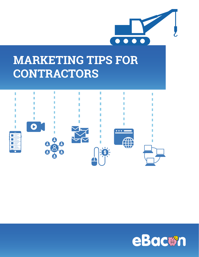

# **MARKETING TIPS FOR CONTRACTORS**



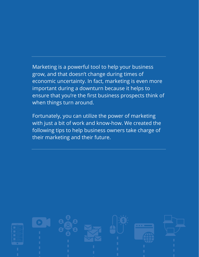Marketing is a powerful tool to help your business grow, and that doesn't change during times of economic uncertainty. In fact, marketing is even more important during a downturn because it helps to ensure that you're the first business prospects think of when things turn around.

Fortunately, you can utilize the power of marketing with just a bit of work and know-how. We created the following tips to help business owners take charge of their marketing and their future.

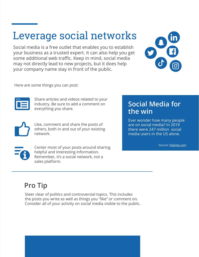## Leverage social networks

Social media is a free outlet that enables you to establish your business as a trusted expert. It can also help you get some additional web traffic. Keep in mind, social media may not directly lead to new projects, but it does help your company name stay in front of the public.



Here are some things you can post:



Share articles and videos related to your industry. Be sure to add a comment on everything you share.



Like, comment and share the posts of others, both in and out of your existing network.

Center most of your posts around sharing helpful and interesting information. Remember, it's a social network, not a sales platform.

### **Social Media for the win**

Ever wonder how many people are on social media? In 2019 there were 247 million social media users in the US alone.

Source: [Statista.com](https://www.statista.com/statistics/273476/percentage-of-us-population-with-a-social-network-profile/)

## **Pro Tip**

Steer clear of politics and controversial topics. This includes the posts you write as well as things you "like" or comment on. Consider all of your activity on social media visible to the public.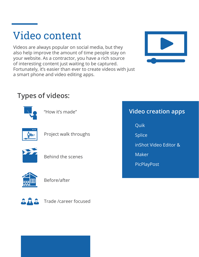## Video content

Videos are always popular on social media, but they also help improve the amount of time people stay on your website. As a contractor, you have a rich source of interesting content just waiting to be captured. Fortunately, it's easier than ever to create videos with just a smart phone and video editing apps.



### **Types of videos:**



"How it's made"



Project walk throughs



Behind the scenes



Before/after



Trade /career focused

### **Video creation apps**

Quik

Splice

inShot Video Editor &

Maker

PicPlayPost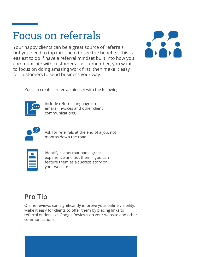## Focus on referrals

Your happy clients can be a great source of referrals, but you need to tap into them to see the benefits. This is easiest to do if have a referral mindset built into how you communicate with customers. Just remember, you want to focus on doing amazing work first, then make it easy for customers to send business your way.



You can create a referral mindset with the following:



Include referral language on emails, invoices and other client communications.



Ask for referrals at the end of a job, not months down the road.

| M. |
|----|
|    |
|    |
|    |
|    |
|    |

Identify clients that had a great experience and ask them if you can feature them as a success story on your website.

## **Pro Tip**

Online reviews can significantly improve your online visibility. Make it easy for clients to offer them by placing links to referral outlets like Google Reviews on your website and other communications.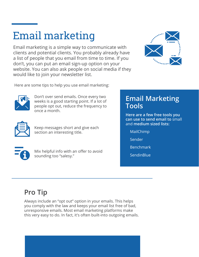# Email marketing

Email marketing is a simple way to communicate with clients and potential clients. You probably already have a list of people that you email from time to time. If you don't, you can put an email sign-up option on your website. You can also ask people on social media if they would like to join your newsletter list.



Here are some tips to help you use email marketing:



Don't over send emails. Once every two weeks is a good starting point. If a lot of people opt out, reduce the frequency to once a month.



Keep messages short and give each section an interesting title.

### **Email Marketing Tools**

**Here are a few free tools you can use to send email to** small and **medium sized lists:**

- MailChimp
- Sender
- Benchmark
- **SendinBlue**

Mix helpful info with an offer to avoid sounding too "salesy."

## **Pro Tip**

Always include an "opt out" option in your emails. This helps you comply with the law and keeps your email list free of bad, unresponsive emails. Most email marketing platforms make this very easy to do. In fact, it's often built-into outgoing emails.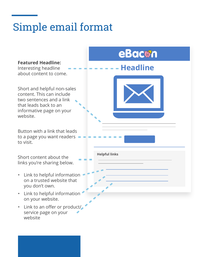# Simple email format

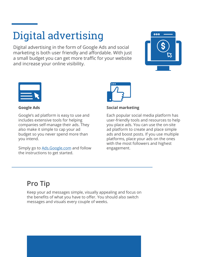# Digital advertising

Digital advertising in the form of Google Ads and social marketing is both user friendly and affordable. With just a small budget you can get more traffic for your website and increase your online visibility.





**Google Ads**

Google's ad platform is easy to use and includes extensive tools for helping companies self-manage their ads. They also make it simple to cap your ad budget so you never spend more than you intend.

Simply go to Ads. Google.com and follow the instructions to get started.



**Social marketing**

Each popular social media platform has user-friendly tools and resources to help you place ads. You can use the on-site ad platform to create and place simple ads and boost posts. If you use multiple platforms, place your ads on the ones with the most followers and highest engagement.

## **Pro Tip**

Keep your ad messages simple, visually appealing and focus on the benefits of what you have to offer. You should also switch messages and visuals every couple of weeks.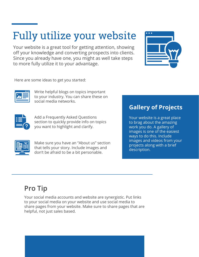# Fully utilize your website

Your website is a great tool for getting attention, showing off your knowledge and converting prospects into clients. Since you already have one, you might as well take steps to more fully utilize it to your advantage.



Here are some ideas to get you started:



Write helpful blogs on topics important to your industry. You can share these on social media networks.



Add a Frequently Asked Questions section to quickly provide info on topics you want to highlight and clarify.



Make sure you have an "About us" section that tells your story. Include images and don't be afraid to be a bit personable.

### **Gallery of Projects**

Your website is a great place to brag about the amazing work you do. A gallery of images is one of the easiest ways to do this. Include images and videos from your projects along with a brief description.

## **Pro Tip**

Your social media accounts and website are synergistic. Put links to your social media on your website and use social media to share pages from your website. Make sure to share pages that are helpful, not just sales based.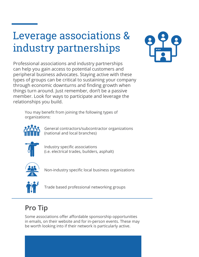# Leverage associations & industry partnerships



Professional associations and industry partnerships can help you gain access to potential customers and peripheral business advocates. Staying active with these types of groups can be critical to sustaining your company through economic downturns and finding growth when things turn around. Just remember, don't be a passive member. Look for ways to participate and leverage the relationships you build.

You may benefit from joining the following types of organizations:



General contractors/subcontractor organizations (national and local branches)



Industry specific associations (i.e. electrical trades, builders, asphalt)



Non-industry specific local business organizations



Trade based professional networking groups

## **Pro Tip**

Some associations offer affordable sponsorship opportunities in emails, on their website and for in-person events. These may be worth looking into if their network is particularly active.